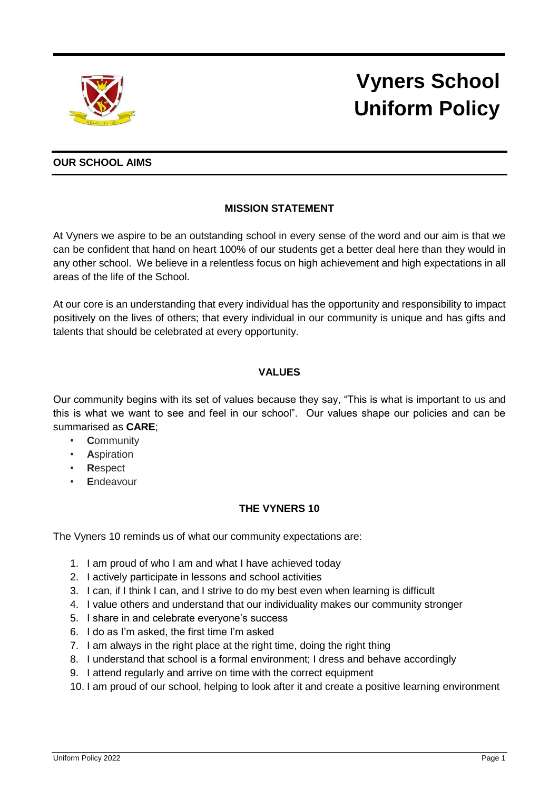

# **Vyners School Uniform Policy**

## **OUR SCHOOL AIMS**

# **MISSION STATEMENT**

At Vyners we aspire to be an outstanding school in every sense of the word and our aim is that we can be confident that hand on heart 100% of our students get a better deal here than they would in any other school. We believe in a relentless focus on high achievement and high expectations in all areas of the life of the School.

At our core is an understanding that every individual has the opportunity and responsibility to impact positively on the lives of others; that every individual in our community is unique and has gifts and talents that should be celebrated at every opportunity.

# **VALUES**

Our community begins with its set of values because they say, "This is what is important to us and this is what we want to see and feel in our school". Our values shape our policies and can be summarised as **CARE**;

- **C**ommunity
- **A**spiration
- **R**espect
- **E**ndeavour

## **THE VYNERS 10**

The Vyners 10 reminds us of what our community expectations are:

- 1. I am proud of who I am and what I have achieved today
- 2. I actively participate in lessons and school activities
- 3. I can, if I think I can, and I strive to do my best even when learning is difficult
- 4. I value others and understand that our individuality makes our community stronger
- 5. I share in and celebrate everyone's success
- 6. I do as I'm asked, the first time I'm asked
- 7. I am always in the right place at the right time, doing the right thing
- 8. I understand that school is a formal environment; I dress and behave accordingly
- 9. I attend regularly and arrive on time with the correct equipment
- 10. I am proud of our school, helping to look after it and create a positive learning environment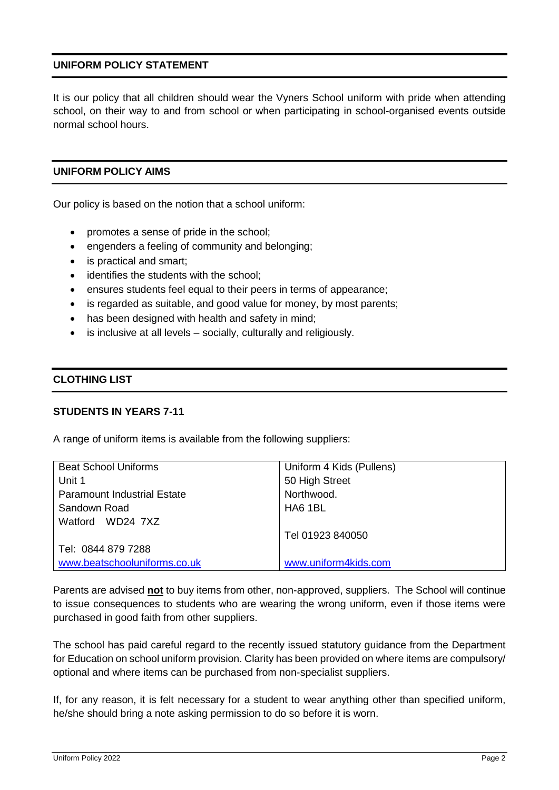## **UNIFORM POLICY STATEMENT**

It is our policy that all children should wear the Vyners School uniform with pride when attending school, on their way to and from school or when participating in school-organised events outside normal school hours.

#### **UNIFORM POLICY AIMS**

Our policy is based on the notion that a school uniform:

- promotes a sense of pride in the school;
- engenders a feeling of community and belonging;
- is practical and smart;
- identifies the students with the school;
- ensures students feel equal to their peers in terms of appearance;
- is regarded as suitable, and good value for money, by most parents;
- has been designed with health and safety in mind:
- is inclusive at all levels socially, culturally and religiously.

#### **CLOTHING LIST**

#### **STUDENTS IN YEARS 7-11**

A range of uniform items is available from the following suppliers:

| <b>Beat School Uniforms</b>        | Uniform 4 Kids (Pullens) |
|------------------------------------|--------------------------|
| Unit 1                             | 50 High Street           |
| <b>Paramount Industrial Estate</b> | Northwood.               |
| Sandown Road                       | HA6 1BL                  |
| Watford WD24 7XZ                   |                          |
|                                    | Tel 01923 840050         |
| Tel: 0844 879 7288                 |                          |
| www.beatschooluniforms.co.uk       | www.uniform4kids.com     |

Parents are advised **not** to buy items from other, non-approved, suppliers. The School will continue to issue consequences to students who are wearing the wrong uniform, even if those items were purchased in good faith from other suppliers.

The school has paid careful regard to the recently issued statutory guidance from the Department for Education on school uniform provision. Clarity has been provided on where items are compulsory/ optional and where items can be purchased from non-specialist suppliers.

If, for any reason, it is felt necessary for a student to wear anything other than specified uniform, he/she should bring a note asking permission to do so before it is worn.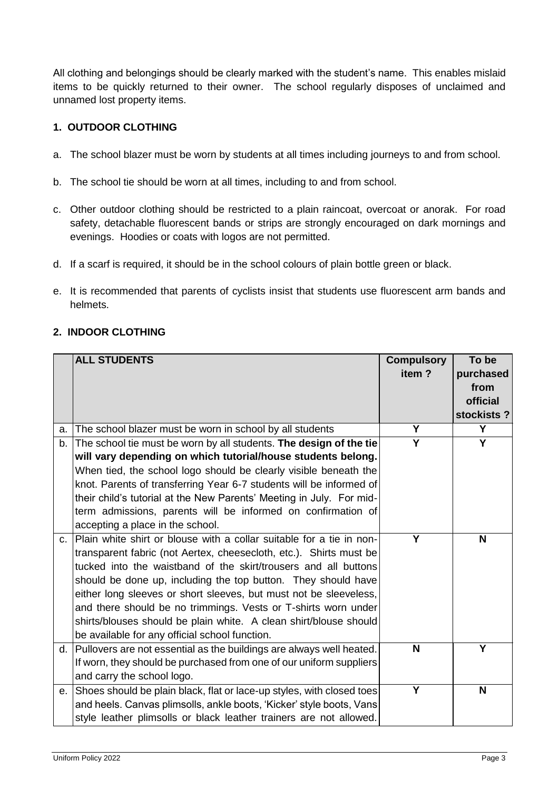All clothing and belongings should be clearly marked with the student's name. This enables mislaid items to be quickly returned to their owner. The school regularly disposes of unclaimed and unnamed lost property items.

# **1. OUTDOOR CLOTHING**

- a. The school blazer must be worn by students at all times including journeys to and from school.
- b. The school tie should be worn at all times, including to and from school.
- c. Other outdoor clothing should be restricted to a plain raincoat, overcoat or anorak. For road safety, detachable fluorescent bands or strips are strongly encouraged on dark mornings and evenings. Hoodies or coats with logos are not permitted.
- d. If a scarf is required, it should be in the school colours of plain bottle green or black.
- e. It is recommended that parents of cyclists insist that students use fluorescent arm bands and helmets.

# **2. INDOOR CLOTHING**

|    | <b>ALL STUDENTS</b>                                                     | <b>Compulsory</b> | To be      |
|----|-------------------------------------------------------------------------|-------------------|------------|
|    |                                                                         | item?             | purchased  |
|    |                                                                         |                   | from       |
|    |                                                                         |                   | official   |
|    |                                                                         |                   | stockists? |
| a. | The school blazer must be worn in school by all students                | Y                 | Y          |
| b. | The school tie must be worn by all students. The design of the tie      | Ý                 | Ÿ          |
|    | will vary depending on which tutorial/house students belong.            |                   |            |
|    | When tied, the school logo should be clearly visible beneath the        |                   |            |
|    | knot. Parents of transferring Year 6-7 students will be informed of     |                   |            |
|    | their child's tutorial at the New Parents' Meeting in July. For mid-    |                   |            |
|    | term admissions, parents will be informed on confirmation of            |                   |            |
|    | accepting a place in the school.                                        |                   |            |
|    | c. Plain white shirt or blouse with a collar suitable for a tie in non- | Υ                 | N          |
|    | transparent fabric (not Aertex, cheesecloth, etc.). Shirts must be      |                   |            |
|    | tucked into the waistband of the skirt/trousers and all buttons         |                   |            |
|    | should be done up, including the top button. They should have           |                   |            |
|    | either long sleeves or short sleeves, but must not be sleeveless,       |                   |            |
|    | and there should be no trimmings. Vests or T-shirts worn under          |                   |            |
|    | shirts/blouses should be plain white. A clean shirt/blouse should       |                   |            |
|    | be available for any official school function.                          |                   |            |
|    | d. Pullovers are not essential as the buildings are always well heated. | N                 | Y          |
|    | If worn, they should be purchased from one of our uniform suppliers     |                   |            |
|    | and carry the school logo.                                              |                   |            |
| е. | Shoes should be plain black, flat or lace-up styles, with closed toes   | Y                 | N          |
|    | and heels. Canvas plimsolls, ankle boots, 'Kicker' style boots, Vans    |                   |            |
|    | style leather plimsolls or black leather trainers are not allowed.      |                   |            |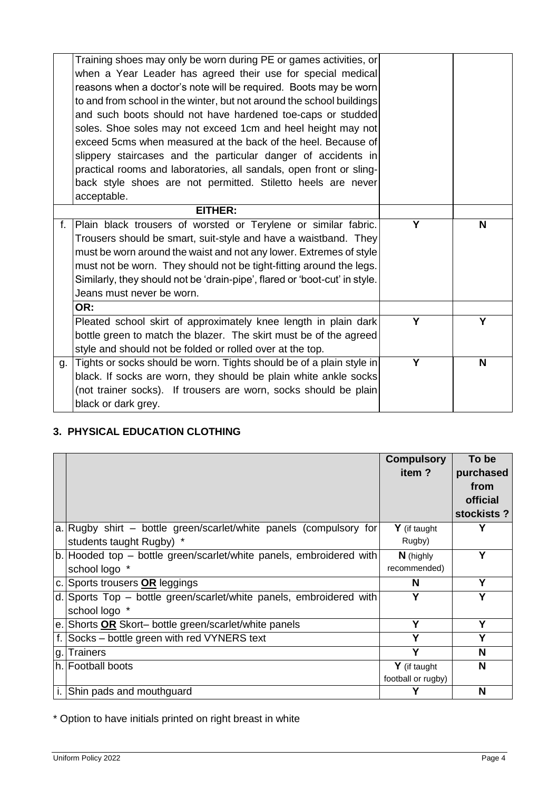|    | Training shoes may only be worn during PE or games activities, or<br>when a Year Leader has agreed their use for special medical     |   |   |
|----|--------------------------------------------------------------------------------------------------------------------------------------|---|---|
|    | reasons when a doctor's note will be required. Boots may be worn                                                                     |   |   |
|    | to and from school in the winter, but not around the school buildings                                                                |   |   |
|    | and such boots should not have hardened toe-caps or studded                                                                          |   |   |
|    | soles. Shoe soles may not exceed 1cm and heel height may not                                                                         |   |   |
|    | exceed 5cms when measured at the back of the heel. Because of                                                                        |   |   |
|    |                                                                                                                                      |   |   |
|    | slippery staircases and the particular danger of accidents in<br>practical rooms and laboratories, all sandals, open front or sling- |   |   |
|    |                                                                                                                                      |   |   |
|    | back style shoes are not permitted. Stiletto heels are never                                                                         |   |   |
|    | acceptable.                                                                                                                          |   |   |
|    | <b>EITHER:</b>                                                                                                                       |   |   |
| f. | Plain black trousers of worsted or Terylene or similar fabric.                                                                       | Y | N |
|    | Trousers should be smart, suit-style and have a waistband. They                                                                      |   |   |
|    | must be worn around the waist and not any lower. Extremes of style                                                                   |   |   |
|    | must not be worn. They should not be tight-fitting around the legs.                                                                  |   |   |
|    | Similarly, they should not be 'drain-pipe', flared or 'boot-cut' in style.                                                           |   |   |
|    | Jeans must never be worn.                                                                                                            |   |   |
|    | OR:                                                                                                                                  |   |   |
|    | Pleated school skirt of approximately knee length in plain dark                                                                      | Y | Y |
|    | bottle green to match the blazer. The skirt must be of the agreed                                                                    |   |   |
|    | style and should not be folded or rolled over at the top.                                                                            |   |   |
| g. | Tights or socks should be worn. Tights should be of a plain style in                                                                 | Y | N |
|    | black. If socks are worn, they should be plain white ankle socks                                                                     |   |   |
|    | (not trainer socks). If trousers are worn, socks should be plain                                                                     |   |   |
|    | black or dark grey.                                                                                                                  |   |   |
|    |                                                                                                                                      |   |   |

# **3. PHYSICAL EDUCATION CLOTHING**

|         |                                                                     | <b>Compulsory</b>  | To be      |
|---------|---------------------------------------------------------------------|--------------------|------------|
|         |                                                                     | item?              | purchased  |
|         |                                                                     |                    | from       |
|         |                                                                     |                    | official   |
|         |                                                                     |                    | stockists? |
|         | a. Rugby shirt – bottle green/scarlet/white panels (compulsory for  | $Y$ (if taught     | Υ          |
|         | students taught Rugby) *                                            | Rugby)             |            |
|         | b. Hooded top - bottle green/scarlet/white panels, embroidered with | N (highly          | Y          |
|         | school logo *                                                       | recommended)       |            |
| $C_{1}$ | Sports trousers <b>OR</b> leggings                                  | N                  | Υ          |
| d.      | Sports Top – bottle green/scarlet/white panels, embroidered with    |                    | Υ          |
|         | school logo *                                                       |                    |            |
|         | e. Shorts OR Skort- bottle green/scarlet/white panels               | Υ                  | Υ          |
|         | Socks - bottle green with red VYNERS text                           | Υ                  | Υ          |
| g.      | <b>Trainers</b>                                                     | Y                  | N          |
|         | h. Football boots                                                   | $Y$ (if taught     | N          |
|         |                                                                     | football or rugby) |            |
|         | Shin pads and mouthguard                                            |                    | N          |

\* Option to have initials printed on right breast in white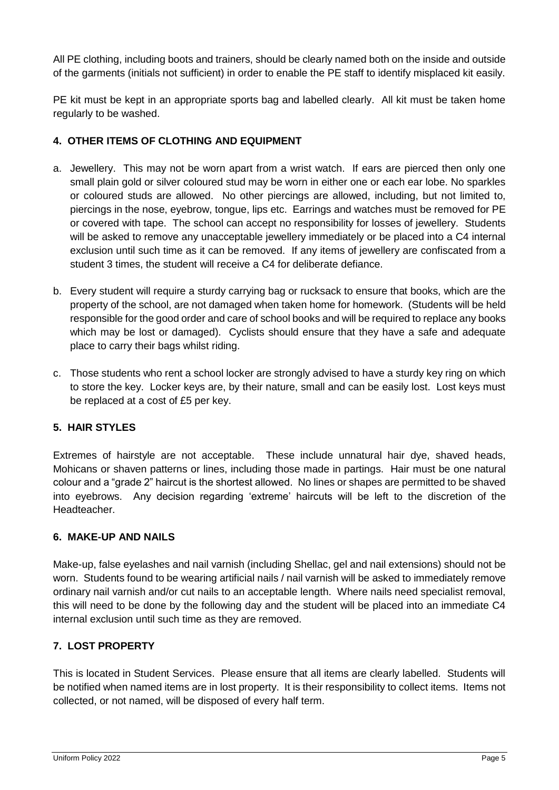All PE clothing, including boots and trainers, should be clearly named both on the inside and outside of the garments (initials not sufficient) in order to enable the PE staff to identify misplaced kit easily.

PE kit must be kept in an appropriate sports bag and labelled clearly. All kit must be taken home regularly to be washed.

# **4. OTHER ITEMS OF CLOTHING AND EQUIPMENT**

- a. Jewellery. This may not be worn apart from a wrist watch. If ears are pierced then only one small plain gold or silver coloured stud may be worn in either one or each ear lobe. No sparkles or coloured studs are allowed. No other piercings are allowed, including, but not limited to, piercings in the nose, eyebrow, tongue, lips etc. Earrings and watches must be removed for PE or covered with tape. The school can accept no responsibility for losses of jewellery. Students will be asked to remove any unacceptable jewellery immediately or be placed into a C4 internal exclusion until such time as it can be removed. If any items of jewellery are confiscated from a student 3 times, the student will receive a C4 for deliberate defiance.
- b. Every student will require a sturdy carrying bag or rucksack to ensure that books, which are the property of the school, are not damaged when taken home for homework. (Students will be held responsible for the good order and care of school books and will be required to replace any books which may be lost or damaged). Cyclists should ensure that they have a safe and adequate place to carry their bags whilst riding.
- c. Those students who rent a school locker are strongly advised to have a sturdy key ring on which to store the key. Locker keys are, by their nature, small and can be easily lost. Lost keys must be replaced at a cost of £5 per key.

## **5. HAIR STYLES**

Extremes of hairstyle are not acceptable. These include unnatural hair dye, shaved heads, Mohicans or shaven patterns or lines, including those made in partings. Hair must be one natural colour and a "grade 2" haircut is the shortest allowed. No lines or shapes are permitted to be shaved into eyebrows. Any decision regarding 'extreme' haircuts will be left to the discretion of the Headteacher.

## **6. MAKE-UP AND NAILS**

Make-up, false eyelashes and nail varnish (including Shellac, gel and nail extensions) should not be worn. Students found to be wearing artificial nails / nail varnish will be asked to immediately remove ordinary nail varnish and/or cut nails to an acceptable length. Where nails need specialist removal, this will need to be done by the following day and the student will be placed into an immediate C4 internal exclusion until such time as they are removed.

## **7. LOST PROPERTY**

This is located in Student Services. Please ensure that all items are clearly labelled. Students will be notified when named items are in lost property. It is their responsibility to collect items. Items not collected, or not named, will be disposed of every half term.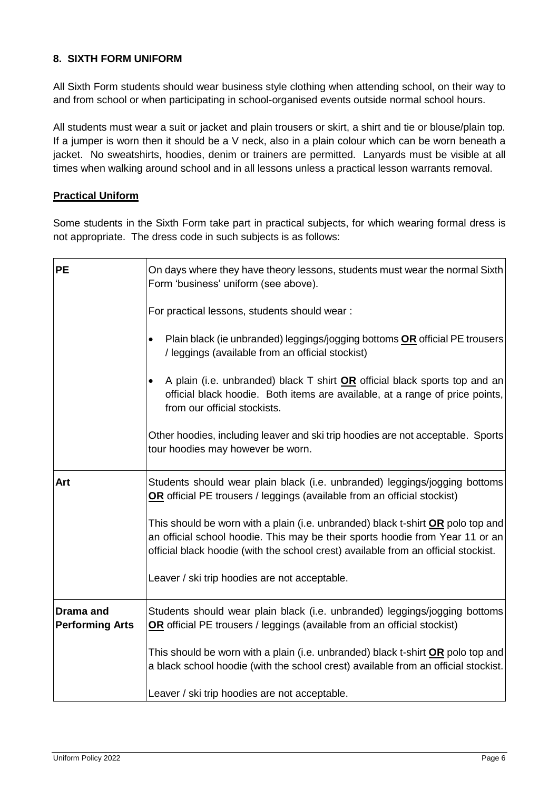## **8. SIXTH FORM UNIFORM**

All Sixth Form students should wear business style clothing when attending school, on their way to and from school or when participating in school-organised events outside normal school hours.

All students must wear a suit or jacket and plain trousers or skirt, a shirt and tie or blouse/plain top. If a jumper is worn then it should be a V neck, also in a plain colour which can be worn beneath a jacket. No sweatshirts, hoodies, denim or trainers are permitted. Lanyards must be visible at all times when walking around school and in all lessons unless a practical lesson warrants removal.

## **Practical Uniform**

Some students in the Sixth Form take part in practical subjects, for which wearing formal dress is not appropriate. The dress code in such subjects is as follows:

| <b>PE</b>                                  | On days where they have theory lessons, students must wear the normal Sixth<br>Form 'business' uniform (see above).                                                                                                                                           |  |
|--------------------------------------------|---------------------------------------------------------------------------------------------------------------------------------------------------------------------------------------------------------------------------------------------------------------|--|
|                                            | For practical lessons, students should wear:                                                                                                                                                                                                                  |  |
|                                            | Plain black (ie unbranded) leggings/jogging bottoms OR official PE trousers<br>$\bullet$<br>/ leggings (available from an official stockist)                                                                                                                  |  |
|                                            | A plain (i.e. unbranded) black T shirt OR official black sports top and an<br>official black hoodie. Both items are available, at a range of price points,<br>from our official stockists.                                                                    |  |
|                                            | Other hoodies, including leaver and ski trip hoodies are not acceptable. Sports<br>tour hoodies may however be worn.                                                                                                                                          |  |
| Art                                        | Students should wear plain black (i.e. unbranded) leggings/jogging bottoms<br>OR official PE trousers / leggings (available from an official stockist)                                                                                                        |  |
|                                            | This should be worn with a plain (i.e. unbranded) black t-shirt <b>OR</b> polo top and<br>an official school hoodie. This may be their sports hoodie from Year 11 or an<br>official black hoodie (with the school crest) available from an official stockist. |  |
|                                            | Leaver / ski trip hoodies are not acceptable.                                                                                                                                                                                                                 |  |
| <b>Drama</b> and<br><b>Performing Arts</b> | Students should wear plain black (i.e. unbranded) leggings/jogging bottoms<br>OR official PE trousers / leggings (available from an official stockist)                                                                                                        |  |
|                                            | This should be worn with a plain (i.e. unbranded) black t-shirt <b>OR</b> polo top and<br>a black school hoodie (with the school crest) available from an official stockist.                                                                                  |  |
|                                            | Leaver / ski trip hoodies are not acceptable.                                                                                                                                                                                                                 |  |